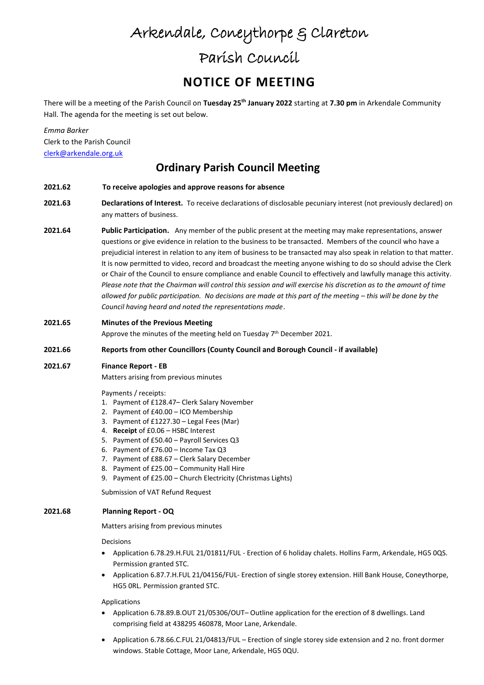# Arkendale, Coneythorpe & Clareton

## Parish Council

## **NOTICE OF MEETING**

There will be a meeting of the Parish Council on **Tuesday 25th January 2022** starting at **7.30 pm** in Arkendale Community Hall. The agenda for the meeting is set out below.

*Emma Barker* Clerk to the Parish Council [clerk@arkendale.org.uk](mailto:clerk@arkendale.org.uk)

### **Ordinary Parish Council Meeting**

- **2021.62 To receive apologies and approve reasons for absence**
- **2021.63 Declarations of Interest.** To receive declarations of disclosable pecuniary interest (not previously declared) on any matters of business.
- **2021.64 Public Participation.** Any member of the public present at the meeting may make representations, answer questions or give evidence in relation to the business to be transacted. Members of the council who have a prejudicial interest in relation to any item of business to be transacted may also speak in relation to that matter. It is now permitted to video, record and broadcast the meeting anyone wishing to do so should advise the Clerk or Chair of the Council to ensure compliance and enable Council to effectively and lawfully manage this activity. *Please note that the Chairman will control this session and will exercise his discretion as to the amount of time allowed for public participation. No decisions are made at this part of the meeting – this will be done by the Council having heard and noted the representations made*.
- **2021.65 Minutes of the Previous Meeting**

Approve the minutes of the meeting held on Tuesday 7<sup>th</sup> December 2021.

### **2021.66 Reports from other Councillors (County Council and Borough Council - if available)**

### **2021.67 Finance Report - EB**

Matters arising from previous minutes

Payments / receipts:

- 1. Payment of £128.47– Clerk Salary November
- 2. Payment of £40.00 ICO Membership
- 3. Payment of £1227.30 Legal Fees (Mar)
- 4. **Receipt** of £0.06 HSBC Interest
- 5. Payment of £50.40 Payroll Services Q3
- 6. Payment of £76.00 Income Tax Q3
- 7. Payment of £88.67 Clerk Salary December
- 8. Payment of £25.00 Community Hall Hire
- 9. Payment of £25.00 Church Electricity (Christmas Lights)

Submission of VAT Refund Request

### **2021.68 Planning Report - OQ**

Matters arising from previous minutes

Decisions

- Application 6.78.29.H.FUL 21/01811/FUL Erection of 6 holiday chalets. Hollins Farm, Arkendale, HG5 0QS. Permission granted STC.
- Application 6.87.7.H.FUL 21/04156/FUL- Erection of single storey extension. Hill Bank House, Coneythorpe, HG5 0RL. Permission granted STC.

Applications

- Application 6.78.89.B.OUT 21/05306/OUT– Outline application for the erection of 8 dwellings. Land comprising field at 438295 460878, Moor Lane, Arkendale.
- Application 6.78.66.C.FUL 21/04813/FUL Erection of single storey side extension and 2 no. front dormer windows. Stable Cottage, Moor Lane, Arkendale, HG5 0QU.